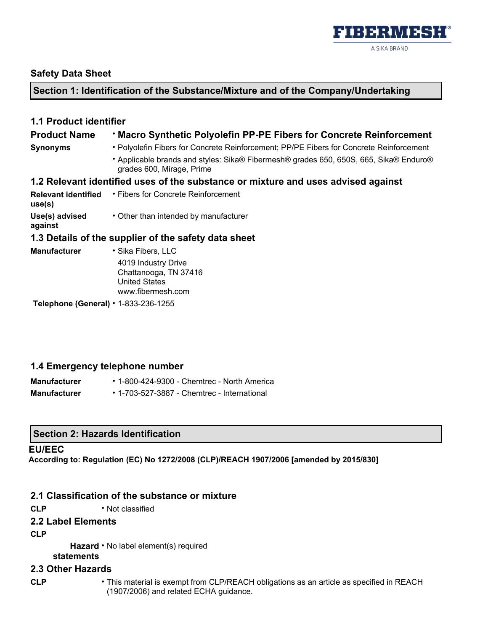

## **Safety Data Sheet**

# **Section 1: Identification of the Substance/Mixture and of the Company/Undertaking**

| <b>1.1 Product identifier</b>              |                                                                                                                    |
|--------------------------------------------|--------------------------------------------------------------------------------------------------------------------|
| <b>Product Name</b>                        | <b>· Macro Synthetic Polyolefin PP-PE Fibers for Concrete Reinforcement</b>                                        |
| <b>Synonyms</b>                            | • Polyolefin Fibers for Concrete Reinforcement; PP/PE Fibers for Concrete Reinforcement                            |
|                                            | • Applicable brands and styles: Sika® Fibermesh® grades 650, 650S, 665, Sika® Enduro®<br>grades 600, Mirage, Prime |
|                                            | 1.2 Relevant identified uses of the substance or mixture and uses advised against                                  |
| use(s)                                     | <b>Relevant identified • Fibers for Concrete Reinforcement</b>                                                     |
| Use(s) advised<br>against                  | • Other than intended by manufacturer                                                                              |
|                                            | 1.3 Details of the supplier of the safety data sheet                                                               |
| <b>Manufacturer</b>                        | • Sika Fibers, LLC                                                                                                 |
|                                            | 4019 Industry Drive<br>Chattanooga, TN 37416<br><b>United States</b><br>www.fibermesh.com                          |
| Telephone (General) $\cdot$ 1-833-236-1255 |                                                                                                                    |

# **1.4 Emergency telephone number**

| <b>Manufacturer</b> | $\cdot$ 1-800-424-9300 - Chemtrec - North America |
|---------------------|---------------------------------------------------|
| <b>Manufacturer</b> | • 1-703-527-3887 - Chemtrec - International       |

## **Section 2: Hazards Identification**

### **EU/EEC**

**According to: Regulation (EC) No 1272/2008 (CLP)/REACH 1907/2006 [amended by 2015/830]** 

# **2.1 Classification of the substance or mixture**

**CLP** • Not classified

## **2.2 Label Elements**

**CLP** 

Hazard • No label element(s) required

**statements** 

# **2.3 Other Hazards**

- 
- **CLP**  This material is exempt from CLP/REACH obligations as an article as specified in REACH (1907/2006) and related ECHA guidance.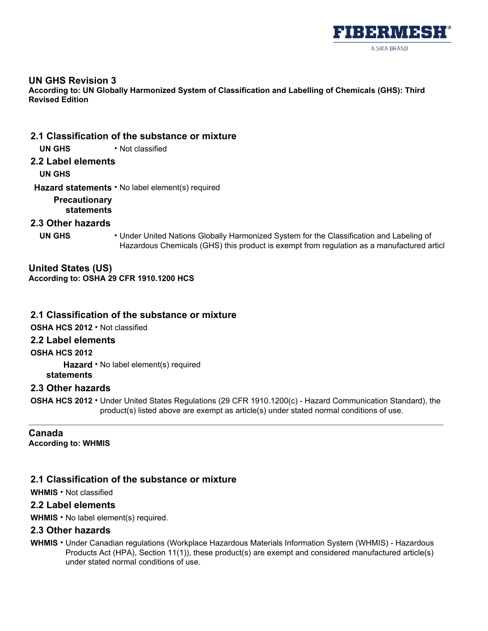

### **UN GHS Revision 3**

**According to: UN Globally Harmonized System of Classification and Labelling of Chemicals (GHS): Third Revised Edition** 

**2.1 Classification of the substance or mixture**

**UN GHS** • Not classified

**2.2 Label elements**

**UN GHS** 

**Hazard statements** • No label element(s) required

**Precautionary statements** 

## **2.3 Other hazards**

**UN GHS** • Under United Nations Globally Harmonized System for the Classification and Labeling of Hazardous Chemicals (GHS) this product is exempt from regulation as a manufactured articl

**United States (US) According to: OSHA 29 CFR 1910.1200 HCS** 

### **2.1 Classification of the substance or mixture**

**OSHA HCS 2012** • Not classified

## **2.2 Label elements**

**OSHA HCS 2012** 

**Hazard**  • No label element(s) required **statements** 

## **2.3 Other hazards**

**OSHA HCS 2012** • Under United States Regulations (29 CFR 1910.1200(c) - Hazard Communication Standard), the product(s) listed above are exempt as article(s) under stated normal conditions of use.

**Canada According to: WHMIS** 

# **2.1 Classification of the substance or mixture**

**WHMIS** • Not classified

### **2.2 Label elements**

**WHMIS** • No label element(s) required.

## **2.3 Other hazards**

**WHMIS** • Under Canadian regulations (Workplace Hazardous Materials Information System (WHMIS) - Hazardous Products Act (HPA), Section 11(1)), these product(s) are exempt and considered manufactured article(s) under stated normal conditions of use.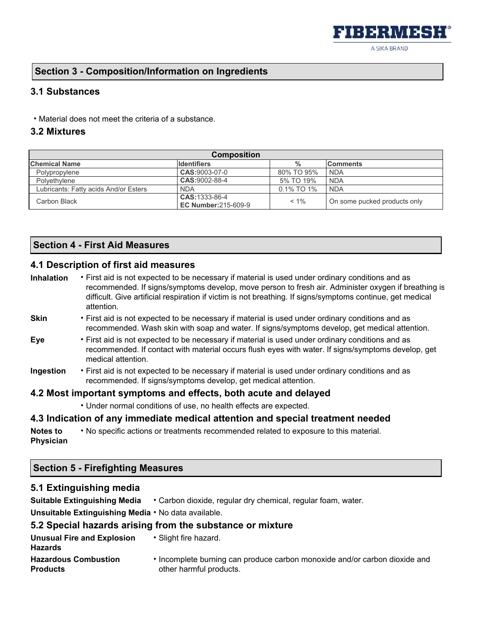A SIKA BRAND

▌▘▞▗▆▏▘▟▗▝▁▌▗▆▙▀▞▌

# **Section 3 - Composition/Information on Ingredients**

## **3.1 Substances**

• Material does not meet the criteria of a substance.

## **3.2 Mixtures**

| <b>Composition</b>                    |                                              |            |                              |  |
|---------------------------------------|----------------------------------------------|------------|------------------------------|--|
| <b>Chemical Name</b>                  | <b>Identifiers</b>                           | %          | <b>Comments</b>              |  |
| Polypropylene                         | CAS:9003-07-0                                | 80% TO 95% | <b>NDA</b>                   |  |
| Polyethylene                          | CAS:9002-88-4                                | 5% TO 19%  | <b>NDA</b>                   |  |
| Lubricants: Fatty acids And/or Esters | <b>NDA</b>                                   | 0.1% TO 1% | <b>NDA</b>                   |  |
| Carbon Black                          | CAS: 1333-86-4<br><b>EC Number:215-609-9</b> | $< 1\%$    | On some pucked products only |  |

# **Section 4 - First Aid Measures**

# **4.1 Description of first aid measures**

| <b>Inhalation</b> | • First aid is not expected to be necessary if material is used under ordinary conditions and as<br>recommended. If signs/symptoms develop, move person to fresh air. Administer oxygen if breathing is<br>difficult. Give artificial respiration if victim is not breathing. If signs/symptoms continue, get medical<br>attention. |
|-------------------|-------------------------------------------------------------------------------------------------------------------------------------------------------------------------------------------------------------------------------------------------------------------------------------------------------------------------------------|
| <b>Skin</b>       | • First aid is not expected to be necessary if material is used under ordinary conditions and as<br>recommended. Wash skin with soap and water. If signs/symptoms develop, get medical attention.                                                                                                                                   |
| Eve               | • First aid is not expected to be necessary if material is used under ordinary conditions and as<br>recommended. If contact with material occurs flush eyes with water. If signs/symptoms develop, get<br>medical attention.                                                                                                        |

**Ingestion** • First aid is not expected to be necessary if material is used under ordinary conditions and as recommended. If signs/symptoms develop, get medical attention.

### **4.2 Most important symptoms and effects, both acute and delayed**

• Under normal conditions of use, no health effects are expected.

## **4.3 Indication of any immediate medical attention and special treatment needed**

**Notes to Physician**  • No specific actions or treatments recommended related to exposure to this material.

## **Section 5 - Firefighting Measures**

## **5.1 Extinguishing media**

**Suitable Extinguishing Media** • Carbon dioxide, regular dry chemical, regular foam, water.

**Unsuitable Extinguishing Media** • No data available.

### **5.2 Special hazards arising from the substance or mixture**

| Unusual Fire and Explosion<br><b>Hazards</b> | • Slight fire hazard.                                                      |
|----------------------------------------------|----------------------------------------------------------------------------|
| <b>Hazardous Combustion</b>                  | • Incomplete burning can produce carbon monoxide and/or carbon dioxide and |
| <b>Products</b>                              | other harmful products.                                                    |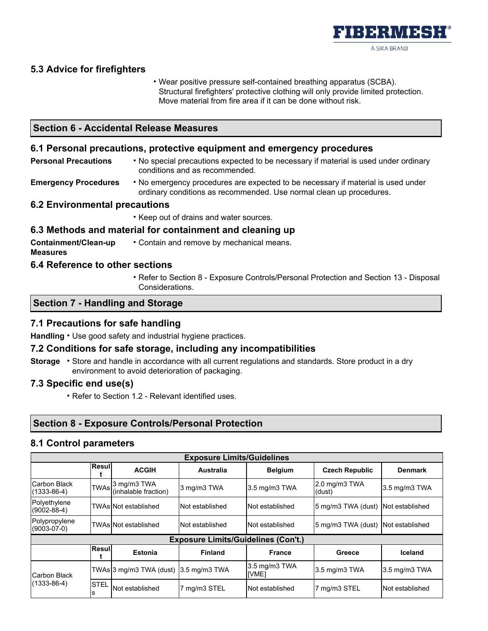

# **5.3 Advice for firefighters**

• Wear positive pressure self-contained breathing apparatus (SCBA). Structural firefighters' protective clothing will only provide limited protection. Move material from fire area if it can be done without risk.

# **Section 6 - Accidental Release Measures**

### **6.1 Personal precautions, protective equipment and emergency procedures**

- **Personal Precautions**  No special precautions expected to be necessary if material is used under ordinary conditions and as recommended.
- **Emergency Procedures**  No emergency procedures are expected to be necessary if material is used under ordinary conditions as recommended. Use normal clean up procedures.

### **6.2 Environmental precautions**

• Keep out of drains and water sources.

### **6.3 Methods and material for containment and cleaning up**

**Containment/Clean-up Measures**  • Contain and remove by mechanical means.

### **6.4 Reference to other sections**

• Refer to Section 8 - Exposure Controls/Personal Protection and Section 13 - Disposal Considerations.

### **Section 7 - Handling and Storage**

### **7.1 Precautions for safe handling**

**Handling** • Use good safety and industrial hygiene practices.

### **7.2 Conditions for safe storage, including any incompatibilities**

**Storage** • Store and handle in accordance with all current regulations and standards. Store product in a dry environment to avoid deterioration of packaging.

### **7.3 Specific end use(s)**

• Refer to Section 1.2 - Relevant identified uses.

## **Section 8 - Exposure Controls/Personal Protection**

### **8.1 Control parameters**

| <b>Exposure Limits/Guidelines</b> |             |                                          |                                            |                        |                                    |                 |
|-----------------------------------|-------------|------------------------------------------|--------------------------------------------|------------------------|------------------------------------|-----------------|
|                                   | Resul       | <b>ACGIH</b>                             | Australia                                  | <b>Belgium</b>         | <b>Czech Republic</b>              | <b>Denmark</b>  |
| Carbon Black<br>$(1333 - 86 - 4)$ |             | TWAs 3 mg/m3 TWA<br>(inhalable fraction) | 3 mg/m3 TWA                                | 3.5 mg/m3 TWA          | $2.0$ mg/m $3$ TWA<br>(dust)       | 3.5 mg/m3 TWA   |
| Polyethylene<br>$(9002 - 88 - 4)$ |             | <b>TWAs Not established</b>              | INot established                           | INot established       | 5 mg/m3 TWA (dust) Not established |                 |
| Polypropylene<br>$(9003-07-0)$    |             | <b>TWAs Not established</b>              | INot established                           | Not established        | 5 mg/m3 TWA (dust) Not established |                 |
|                                   |             |                                          | <b>Exposure Limits/Guidelines (Con't.)</b> |                        |                                    |                 |
|                                   | Resul       | <b>Estonia</b>                           | <b>Finland</b>                             | <b>France</b>          | Greece                             | Iceland         |
| Carbon Black                      |             | TWAs 3 mg/m3 TWA (dust)                  | $3.5 \text{ mg/m}$ 3 TWA                   | 3.5 mg/m3 TWA<br>[VME] | 3.5 mg/m3 TWA                      | 3.5 mg/m3 TWA   |
| $(1333 - 86 - 4)$                 | <b>STEL</b> | Not established                          | 7 mg/m3 STEL                               | Not established        | 7 mg/m3 STEL                       | Not established |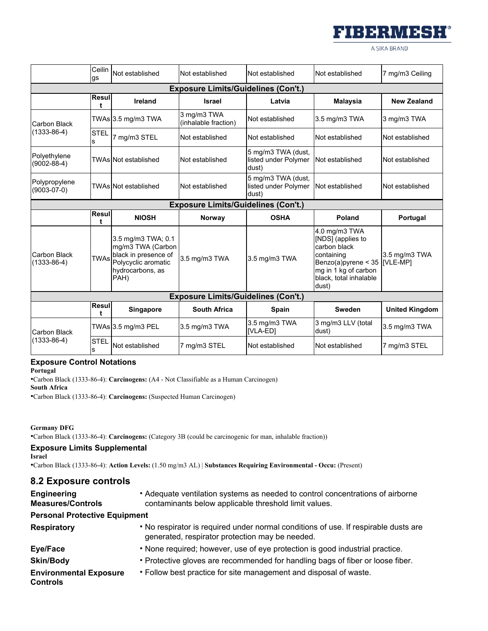

A SIKA BRAND

|                                          | Ceilin<br>gs                               | Not established                                                                        | Not established                            | Not established                                     | Not established                                                                           | 7 mg/m3 Ceiling           |
|------------------------------------------|--------------------------------------------|----------------------------------------------------------------------------------------|--------------------------------------------|-----------------------------------------------------|-------------------------------------------------------------------------------------------|---------------------------|
|                                          | <b>Exposure Limits/Guidelines (Con't.)</b> |                                                                                        |                                            |                                                     |                                                                                           |                           |
|                                          | <b>Resul</b><br>t                          | Ireland                                                                                | <b>Israel</b>                              | Latvia                                              | <b>Malaysia</b>                                                                           | <b>New Zealand</b>        |
| Carbon Black                             |                                            | TWAs 3.5 mg/m3 TWA                                                                     | 3 mg/m3 TWA<br>(inhalable fraction)        | Not established                                     | 3.5 mg/m3 TWA                                                                             | 3 mg/m3 TWA               |
| $(1333 - 86 - 4)$                        | <b>STEL</b><br>s                           | 7 mg/m3 STEL                                                                           | Not established                            | Not established                                     | Not established                                                                           | Not established           |
| Polyethylene<br>$(9002 - 88 - 4)$        |                                            | TWAs Not established                                                                   | Not established                            | 5 mg/m3 TWA (dust,<br>listed under Polymer<br>dust) | Not established                                                                           | Not established           |
| Polypropylene<br>$(9003-07-0)$           |                                            | <b>TWAs Not established</b>                                                            | Not established                            | 5 mg/m3 TWA (dust,<br>listed under Polymer<br>dust) | Not established                                                                           | Not established           |
|                                          |                                            |                                                                                        | <b>Exposure Limits/Guidelines (Con't.)</b> |                                                     |                                                                                           |                           |
|                                          | Resul                                      | <b>NIOSH</b>                                                                           | Norway                                     | <b>OSHA</b>                                         | Poland                                                                                    | Portugal                  |
| <b>Carbon Black</b><br>$(1333 - 86 - 4)$ | <b>TWAs</b>                                | 3.5 mg/m3 TWA; 0.1<br>mg/m3 TWA (Carbon<br>black in presence of<br>Polycyclic aromatic | 3.5 mg/m3 TWA                              | 3.5 mg/m3 TWA                                       | 4.0 mg/m3 TWA<br>[NDS] (applies to<br>carbon black<br>containing<br>Benzo(a)pyrene $<$ 35 | 3.5 mg/m3 TWA<br>[VLE-MP] |
|                                          |                                            | hydrocarbons, as<br>PAH)                                                               |                                            |                                                     | mg in 1 kg of carbon<br>black, total inhalable<br>dust)                                   |                           |
|                                          |                                            |                                                                                        | <b>Exposure Limits/Guidelines (Con't.)</b> |                                                     |                                                                                           |                           |
|                                          | Resul<br>t                                 | Singapore                                                                              | <b>South Africa</b>                        | <b>Spain</b>                                        | Sweden                                                                                    | <b>United Kingdom</b>     |
|                                          |                                            | TWAs 3.5 mg/m3 PEL                                                                     | 3.5 mg/m3 TWA                              | 3.5 mg/m3 TWA<br>[VLA-ED]                           | 3 mg/m3 LLV (total<br>dust)                                                               | 3.5 mg/m3 TWA             |
| <b>Carbon Black</b><br>$(1333 - 86 - 4)$ | <b>STEL</b><br>s                           | Not established                                                                        | 7 mg/m3 STEL                               | Not established                                     | Not established                                                                           | 7 mg/m3 STEL              |

### **Exposure Control Notations**

**Portugal**

•Carbon Black (1333-86-4): **Carcinogens:** (A4 - Not Classifiable as a Human Carcinogen) **South Africa**

•Carbon Black (1333-86-4): **Carcinogens:** (Suspected Human Carcinogen)

**Germany DFG**

•Carbon Black (1333-86-4): **Carcinogens:** (Category 3B (could be carcinogenic for man, inhalable fraction))

### **Exposure Limits Supplemental**

**Israel**

•Carbon Black (1333-86-4): **Action Levels:** (1.50 mg/m3 AL) | **Substances Requiring Environmental - Occu:** (Present)

## **8.2 Exposure controls**

| <b>Engineering</b><br><b>Measures/Controls</b>   | • Adequate ventilation systems as needed to control concentrations of airborne<br>contaminants below applicable threshold limit values. |
|--------------------------------------------------|-----------------------------------------------------------------------------------------------------------------------------------------|
| <b>Personal Protective Equipment</b>             |                                                                                                                                         |
| <b>Respiratory</b>                               | • No respirator is required under normal conditions of use. If respirable dusts are<br>generated, respirator protection may be needed.  |
| Eye/Face                                         | • None required; however, use of eye protection is good industrial practice.                                                            |
| <b>Skin/Body</b>                                 | . Protective gloves are recommended for handling bags of fiber or loose fiber.                                                          |
| <b>Environmental Exposure</b><br><b>Controls</b> | • Follow best practice for site management and disposal of waste.                                                                       |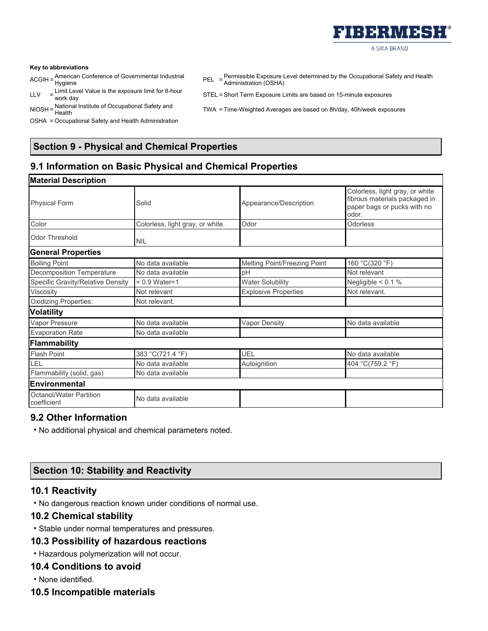

#### **Key to abbreviations**

- ACGIH = American Conference of Governmental Industrial Hygiene
- LLV  $=$  Limit Level Value is the exposure limit for 8-hour<br>work day
- NIOSH = National Institute of Occupational Safety and
- OSHA = Occupational Safety and Health Administration
- PEL = Permissible Exposure Level determined by the Occupational Safety and Health Administration (OSHA)
- STEL = Short Term Exposure Limits are based on 15-minute exposures
- TWA = Time-Weighted Averages are based on 8h/day, 40h/week exposures

# **Section 9 - Physical and Chemical Properties**

# **9.1 Information on Basic Physical and Chemical Properties**

| <b>Material Description</b>                   |                                  |                              |                                                                                                          |
|-----------------------------------------------|----------------------------------|------------------------------|----------------------------------------------------------------------------------------------------------|
| <b>Physical Form</b>                          | Solid                            | Appearance/Description       | Colorless, light gray, or white<br>fibrous materials packaged in<br>paper bags or pucks with no<br>odor. |
| Color                                         | Colorless, light gray, or white. | Odor                         | <b>Odorless</b>                                                                                          |
| Odor Threshold                                | <b>NIL</b>                       |                              |                                                                                                          |
| <b>General Properties</b>                     |                                  |                              |                                                                                                          |
| <b>Boiling Point</b>                          | No data available                | Melting Point/Freezing Point | 160 °C(320 °F)                                                                                           |
| <b>Decomposition Temperature</b>              | No data available                | pH                           | Not relevant                                                                                             |
| Specific Gravity/Relative Density             | $= 0.9$ Water=1                  | <b>Water Solubility</b>      | Negligible $< 0.1 %$                                                                                     |
| Viscosity                                     | Not relevant                     | <b>Explosive Properties</b>  | Not relevant.                                                                                            |
| <b>Oxidizing Properties:</b>                  | Not relevant.                    |                              |                                                                                                          |
| <b>Volatility</b>                             |                                  |                              |                                                                                                          |
| Vapor Pressure                                | No data available                | <b>Vapor Density</b>         | No data available                                                                                        |
| <b>Evaporation Rate</b>                       | No data available                |                              |                                                                                                          |
| <b>Flammability</b>                           |                                  |                              |                                                                                                          |
| <b>Flash Point</b>                            | 383 °C(721.4 °F)                 | <b>UEL</b>                   | No data available                                                                                        |
| LEL                                           | No data available                | Autoignition                 | 404 °C(759.2 °F)                                                                                         |
| Flammability (solid, gas)                     | No data available                |                              |                                                                                                          |
| Environmental                                 |                                  |                              |                                                                                                          |
| <b>Octanol/Water Partition</b><br>coefficient | No data available                |                              |                                                                                                          |

## **9.2 Other Information**

• No additional physical and chemical parameters noted.

## **Section 10: Stability and Reactivity**

### **10.1 Reactivity**

• No dangerous reaction known under conditions of normal use.

### **10.2 Chemical stability**

• Stable under normal temperatures and pressures.

### **10.3 Possibility of hazardous reactions**

• Hazardous polymerization will not occur.

### **10.4 Conditions to avoid**

• None identified.

**10.5 Incompatible materials**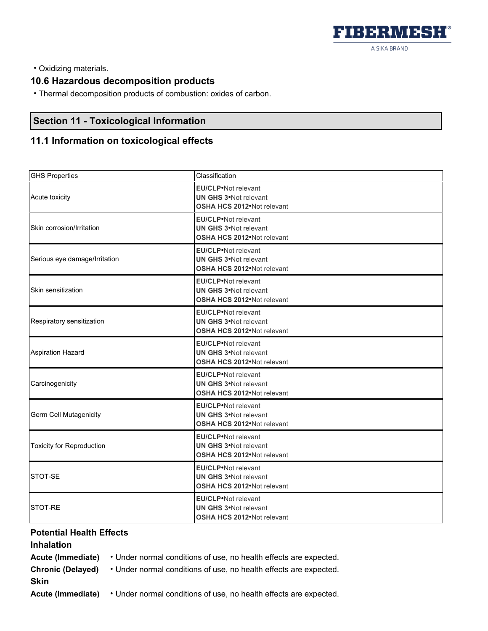

• Oxidizing materials.

# **10.6 Hazardous decomposition products**

• Thermal decomposition products of combustion: oxides of carbon.

# **Section 11 - Toxicological Information**

# **11.1 Information on toxicological effects**

| <b>GHS Properties</b>            | Classification                                                                             |
|----------------------------------|--------------------------------------------------------------------------------------------|
| Acute toxicity                   | <b>EU/CLP</b> ·Not relevant<br><b>UN GHS 3</b> Not relevant<br>OSHA HCS 2012. Not relevant |
| Skin corrosion/Irritation        | <b>EU/CLP</b> ·Not relevant<br><b>UN GHS 3</b> Not relevant<br>OSHA HCS 2012. Not relevant |
| Serious eye damage/Irritation    | <b>EU/CLP</b> •Not relevant<br><b>UN GHS 3</b> Not relevant<br>OSHA HCS 2012. Not relevant |
| Skin sensitization               | <b>EU/CLP</b> ·Not relevant<br><b>UN GHS 3</b> Not relevant<br>OSHA HCS 2012. Not relevant |
| Respiratory sensitization        | <b>EU/CLP</b> ·Not relevant<br><b>UN GHS 3</b> Not relevant<br>OSHA HCS 2012. Not relevant |
| <b>Aspiration Hazard</b>         | <b>EU/CLP</b> ·Not relevant<br><b>UN GHS 3</b> Not relevant<br>OSHA HCS 2012•Not relevant  |
| Carcinogenicity                  | <b>EU/CLP</b> ·Not relevant<br><b>UN GHS 3</b> Not relevant<br>OSHA HCS 2012. Not relevant |
| Germ Cell Mutagenicity           | <b>EU/CLP</b> ·Not relevant<br><b>UN GHS 3</b> Not relevant<br>OSHA HCS 2012. Not relevant |
| <b>Toxicity for Reproduction</b> | <b>EU/CLP</b> ·Not relevant<br><b>UN GHS 3</b> Not relevant<br>OSHA HCS 2012. Not relevant |
| STOT-SE                          | <b>EU/CLP</b> ·Not relevant<br><b>UN GHS 3</b> Not relevant<br>OSHA HCS 2012•Not relevant  |
| STOT-RE                          | <b>EU/CLP</b> ·Not relevant<br><b>UN GHS 3</b> Not relevant<br>OSHA HCS 2012•Not relevant  |

## **Potential Health Effects**

# **Inhalation**

| Acute (Immediate)        | • Under normal conditions of use, no health effects are expected. |
|--------------------------|-------------------------------------------------------------------|
| <b>Chronic (Delayed)</b> | • Under normal conditions of use, no health effects are expected. |
| Skin                     |                                                                   |
| Acute (Immediate)        | • Under normal conditions of use, no health effects are expected. |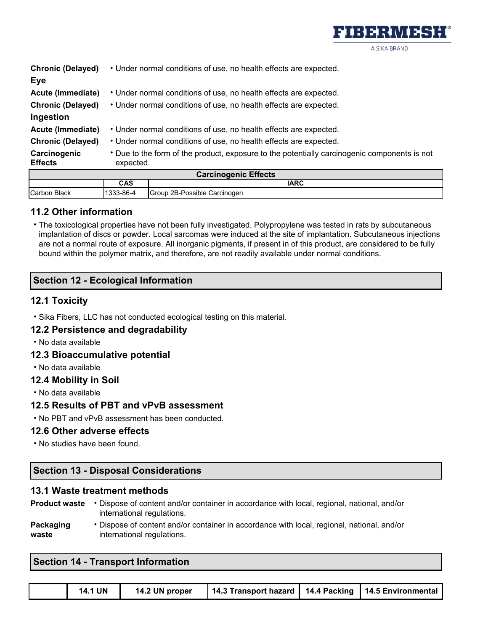

|                                | <b>Carcinogenic Effects</b>                                                                               |
|--------------------------------|-----------------------------------------------------------------------------------------------------------|
| Carcinogenic<br><b>Effects</b> | • Due to the form of the product, exposure to the potentially carcinogenic components is not<br>expected. |
| <b>Chronic (Delayed)</b>       | • Under normal conditions of use, no health effects are expected.                                         |
| Acute (Immediate)              | • Under normal conditions of use, no health effects are expected.                                         |
| Ingestion                      |                                                                                                           |
| <b>Chronic (Delayed)</b>       | • Under normal conditions of use, no health effects are expected.                                         |
| Acute (Immediate)              | • Under normal conditions of use, no health effects are expected.                                         |
| Eye                            |                                                                                                           |
| <b>Chronic (Delayed)</b>       | • Under normal conditions of use, no health effects are expected.                                         |

| <b>Carcinogenic Effects</b> |           |                              |
|-----------------------------|-----------|------------------------------|
|                             | CAS       | IARC                         |
| <b>Carbon Black</b>         | 1333-86-4 | Group 2B-Possible Carcinogen |

# **11.2 Other information**

• The toxicological properties have not been fully investigated. Polypropylene was tested in rats by subcutaneous implantation of discs or powder. Local sarcomas were induced at the site of implantation. Subcutaneous injections are not a normal route of exposure. All inorganic pigments, if present in of this product, are considered to be fully bound within the polymer matrix, and therefore, are not readily available under normal conditions.

# **Section 12 - Ecological Information**

## **12.1 Toxicity**

• Sika Fibers, LLC has not conducted ecological testing on this material.

## **12.2 Persistence and degradability**

• No data available

## **12.3 Bioaccumulative potential**

• No data available

## **12.4 Mobility in Soil**

• No data available

## **12.5 Results of PBT and vPvB assessment**

• No PBT and vPvB assessment has been conducted.

## **12.6 Other adverse effects**

• No studies have been found.

# **Section 13 - Disposal Considerations**

### **13.1 Waste treatment methods**

| <b>Product waste</b> | Dispose of content and/or container in accordance with local, regional, national, and/or |
|----------------------|------------------------------------------------------------------------------------------|
|                      | international regulations.                                                               |
| .                    |                                                                                          |

**Packaging waste**  • Dispose of content and/or container in accordance with local, regional, national, and/or international regulations.

# **Section 14 - Transport Information**

|  | <b>14.1 UN</b> | 14.2 UN proper | 14.3 Transport hazard   14.4 Packing   14.5 Environmental |  |  |
|--|----------------|----------------|-----------------------------------------------------------|--|--|
|--|----------------|----------------|-----------------------------------------------------------|--|--|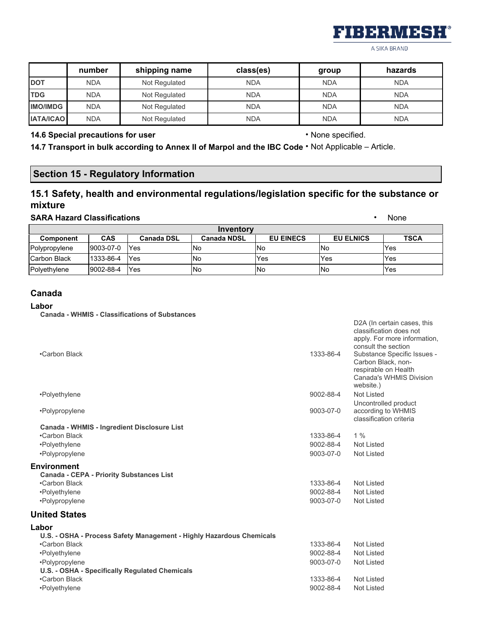

D2A (In certain cases, this

A SIKA BRAND

|                  | number     | shipping name | class(es)  | group      | hazards    |
|------------------|------------|---------------|------------|------------|------------|
| <b>DOT</b>       | <b>NDA</b> | Not Regulated | <b>NDA</b> | <b>NDA</b> | <b>NDA</b> |
| <b>TDG</b>       | <b>NDA</b> | Not Regulated | <b>NDA</b> | <b>NDA</b> | <b>NDA</b> |
| <b>IMO/IMDG</b>  | <b>NDA</b> | Not Regulated | <b>NDA</b> | <b>NDA</b> | <b>NDA</b> |
| <b>IATA/ICAO</b> | <b>NDA</b> | Not Regulated | <b>NDA</b> | <b>NDA</b> | <b>NDA</b> |

### **14.6 Special precautions for user** • None specified.

**14.7 Transport in bulk according to Annex II of Marpol and the IBC Code** • Not Applicable – Article.

# **Section 15 - Regulatory Information**

# **15.1 Safety, health and environmental regulations/legislation specific for the substance or mixture**

### **SARA Hazard Classifications** • None

| Inventory        |            |                   |                    |                  |                  |             |
|------------------|------------|-------------------|--------------------|------------------|------------------|-------------|
| <b>Component</b> | <b>CAS</b> | <b>Canada DSL</b> | <b>Canada NDSL</b> | <b>EU EINECS</b> | <b>EU ELNICS</b> | <b>TSCA</b> |
| Polypropylene    | 9003-07-0  | Yes               | <b>No</b>          | <b>No</b>        | <b>No</b>        | Yes         |
| Carbon Black     | 1333-86-4  | Yes               | .No                | Yes              | Yes              | Yes         |
| Polyethylene     | 9002-88-4  | Yes               | No                 | <b>No</b>        | <b>No</b>        | Yes         |

### **Canada**

### **Labor**

**Canada - WHMIS - Classifications of Substances**

| •Carbon Black                                                         | 1333-86-4 | classification does not<br>apply. For more information,<br>consult the section<br>Substance Specific Issues -<br>Carbon Black, non-<br>respirable on Health<br>Canada's WHMIS Division<br>website.) |
|-----------------------------------------------------------------------|-----------|-----------------------------------------------------------------------------------------------------------------------------------------------------------------------------------------------------|
| •Polyethylene                                                         | 9002-88-4 | Not Listed                                                                                                                                                                                          |
| •Polypropylene                                                        | 9003-07-0 | Uncontrolled product<br>according to WHMIS<br>classification criteria                                                                                                                               |
| <b>Canada - WHMIS - Ingredient Disclosure List</b>                    |           |                                                                                                                                                                                                     |
| •Carbon Black                                                         | 1333-86-4 | 1%                                                                                                                                                                                                  |
| •Polyethylene                                                         | 9002-88-4 | Not Listed                                                                                                                                                                                          |
| •Polypropylene                                                        | 9003-07-0 | <b>Not Listed</b>                                                                                                                                                                                   |
| <b>Environment</b><br><b>Canada - CEPA - Priority Substances List</b> |           |                                                                                                                                                                                                     |
| •Carbon Black                                                         | 1333-86-4 | <b>Not Listed</b>                                                                                                                                                                                   |
| •Polyethylene                                                         | 9002-88-4 | Not Listed                                                                                                                                                                                          |
| •Polypropylene                                                        | 9003-07-0 | <b>Not Listed</b>                                                                                                                                                                                   |
| <b>United States</b>                                                  |           |                                                                                                                                                                                                     |
| Labor                                                                 |           |                                                                                                                                                                                                     |
| U.S. - OSHA - Process Safety Management - Highly Hazardous Chemicals  |           |                                                                                                                                                                                                     |
| •Carbon Black                                                         | 1333-86-4 | Not Listed                                                                                                                                                                                          |
| •Polyethylene                                                         | 9002-88-4 | <b>Not Listed</b>                                                                                                                                                                                   |
| •Polypropylene                                                        | 9003-07-0 | Not Listed                                                                                                                                                                                          |
| U.S. - OSHA - Specifically Regulated Chemicals                        |           |                                                                                                                                                                                                     |
| •Carbon Black                                                         | 1333-86-4 | <b>Not Listed</b>                                                                                                                                                                                   |
| •Polyethylene                                                         | 9002-88-4 | <b>Not Listed</b>                                                                                                                                                                                   |
|                                                                       |           |                                                                                                                                                                                                     |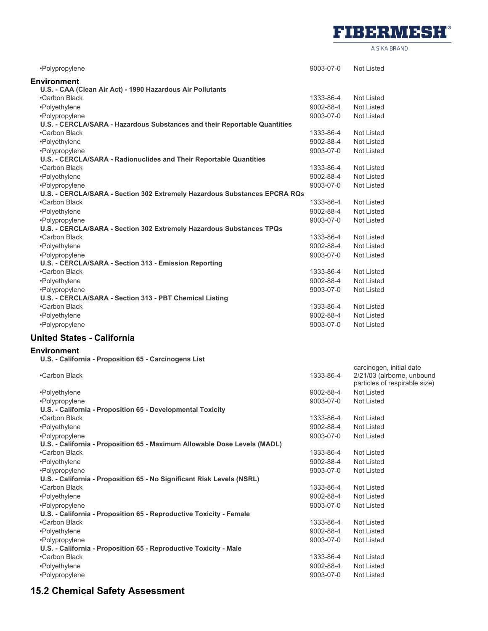

A SIKA BRAND

carcinogen, initial date

| •Polypropylene                                                            | 9003-07-0 | Not Listed        |
|---------------------------------------------------------------------------|-----------|-------------------|
| <b>Environment</b>                                                        |           |                   |
| U.S. - CAA (Clean Air Act) - 1990 Hazardous Air Pollutants                |           |                   |
| •Carbon Black                                                             | 1333-86-4 | Not Listed        |
| •Polyethylene                                                             | 9002-88-4 | <b>Not Listed</b> |
| •Polypropylene                                                            | 9003-07-0 | Not Listed        |
| U.S. - CERCLA/SARA - Hazardous Substances and their Reportable Quantities |           |                   |
| •Carbon Black                                                             | 1333-86-4 | <b>Not Listed</b> |
| •Polyethylene                                                             | 9002-88-4 | Not Listed        |
| •Polypropylene                                                            | 9003-07-0 | <b>Not Listed</b> |
| U.S. - CERCLA/SARA - Radionuclides and Their Reportable Quantities        |           |                   |
| •Carbon Black                                                             | 1333-86-4 | <b>Not Listed</b> |
| •Polyethylene                                                             | 9002-88-4 | Not Listed        |
| •Polypropylene                                                            | 9003-07-0 | Not Listed        |
| U.S. - CERCLA/SARA - Section 302 Extremely Hazardous Substances EPCRA RQs |           |                   |
| •Carbon Black                                                             | 1333-86-4 | <b>Not Listed</b> |
| •Polyethylene                                                             | 9002-88-4 | Not Listed        |
| •Polypropylene                                                            | 9003-07-0 | Not Listed        |
| U.S. - CERCLA/SARA - Section 302 Extremely Hazardous Substances TPQs      |           |                   |
| •Carbon Black                                                             | 1333-86-4 | Not Listed        |
| •Polyethylene                                                             | 9002-88-4 | Not Listed        |
| •Polypropylene                                                            | 9003-07-0 | Not Listed        |
| U.S. - CERCLA/SARA - Section 313 - Emission Reporting                     |           |                   |
| •Carbon Black                                                             | 1333-86-4 | Not Listed        |
| •Polyethylene                                                             | 9002-88-4 | <b>Not Listed</b> |
| •Polypropylene                                                            | 9003-07-0 | Not Listed        |
| U.S. - CERCLA/SARA - Section 313 - PBT Chemical Listing                   |           |                   |
| •Carbon Black                                                             | 1333-86-4 | <b>Not Listed</b> |
| •Polyethylene                                                             | 9002-88-4 | Not Listed        |
| •Polypropylene                                                            | 9003-07-0 | Not Listed        |
|                                                                           |           |                   |

## **United States - California**

### **Environment**

**U.S. - California - Proposition 65 - Carcinogens List**

| 1333-86-4 | 2/21/03 (airborne, unbound<br>particles of respirable size) |
|-----------|-------------------------------------------------------------|
| 9002-88-4 | Not Listed                                                  |
| 9003-07-0 | Not Listed                                                  |
|           |                                                             |
| 1333-86-4 | Not Listed                                                  |
| 9002-88-4 | Not Listed                                                  |
| 9003-07-0 | Not Listed                                                  |
|           |                                                             |
| 1333-86-4 | Not Listed                                                  |
| 9002-88-4 | Not Listed                                                  |
| 9003-07-0 | Not Listed                                                  |
|           |                                                             |
| 1333-86-4 | Not Listed                                                  |
| 9002-88-4 | Not Listed                                                  |
| 9003-07-0 | Not Listed                                                  |
|           |                                                             |
| 1333-86-4 | Not Listed                                                  |
| 9002-88-4 | Not Listed                                                  |
| 9003-07-0 | Not Listed                                                  |
|           |                                                             |
| 1333-86-4 | Not Listed                                                  |
| 9002-88-4 | Not Listed                                                  |
| 9003-07-0 | Not Listed                                                  |
|           |                                                             |

# **15.2 Chemical Safety Assessment**